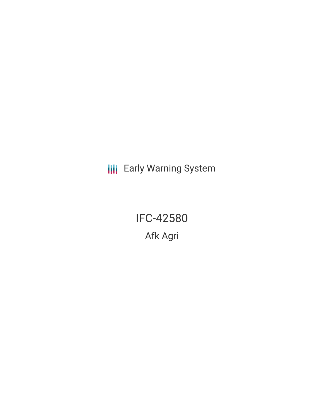**III** Early Warning System

IFC-42580 Afk Agri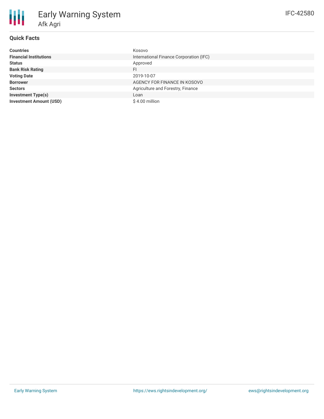# **Quick Facts**

| <b>Countries</b>               | Kosovo                                  |
|--------------------------------|-----------------------------------------|
| <b>Financial Institutions</b>  | International Finance Corporation (IFC) |
| <b>Status</b>                  | Approved                                |
| <b>Bank Risk Rating</b>        | FI                                      |
| <b>Voting Date</b>             | 2019-10-07                              |
| <b>Borrower</b>                | AGENCY FOR FINANCE IN KOSOVO            |
| <b>Sectors</b>                 | Agriculture and Forestry, Finance       |
| <b>Investment Type(s)</b>      | Loan                                    |
| <b>Investment Amount (USD)</b> | \$4.00 million                          |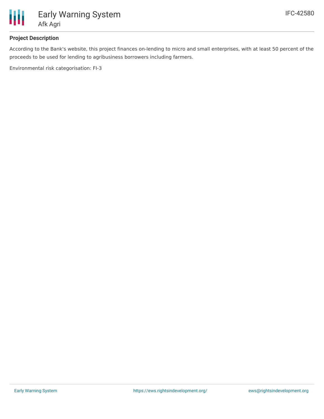

## **Project Description**

According to the Bank's website, this project finances on-lending to micro and small enterprises, with at least 50 percent of the proceeds to be used for lending to agribusiness borrowers including farmers.

Environmental risk categorisation: FI-3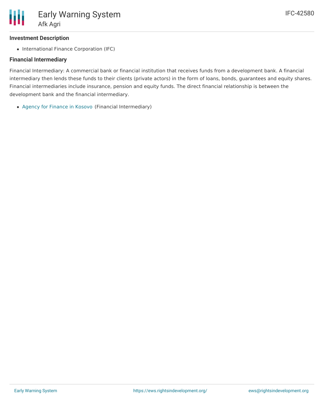## **Investment Description**

• International Finance Corporation (IFC)

#### **Financial Intermediary**

Financial Intermediary: A commercial bank or financial institution that receives funds from a development bank. A financial intermediary then lends these funds to their clients (private actors) in the form of loans, bonds, guarantees and equity shares. Financial intermediaries include insurance, pension and equity funds. The direct financial relationship is between the development bank and the financial intermediary.

Agency for [Finance](file:///actor/266/) in Kosovo (Financial Intermediary)